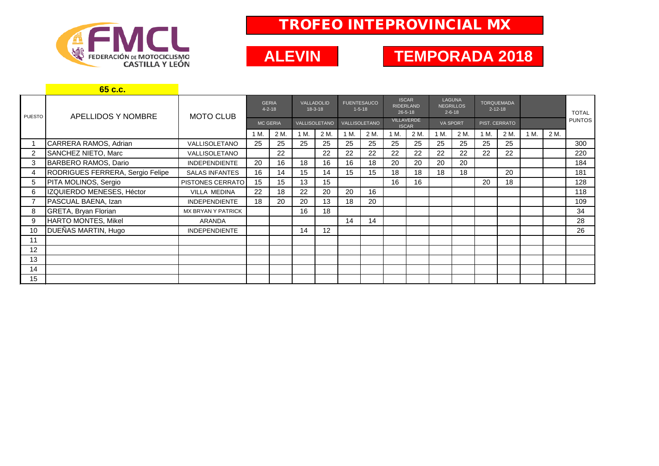

## TROFEO INTEPROVINCIAL MX

## **TEMP ALEVIN TEMPORADA 2018**

|                | 65 c.c.                          |                           |                              |      |                         |      |                                    |      |                                                   |      |                                                   |      |                                    |      |      |      |               |
|----------------|----------------------------------|---------------------------|------------------------------|------|-------------------------|------|------------------------------------|------|---------------------------------------------------|------|---------------------------------------------------|------|------------------------------------|------|------|------|---------------|
| <b>PUESTO</b>  | APELLIDOS Y NOMBRE               | <b>MOTO CLUB</b>          | <b>GERIA</b><br>$4 - 2 - 18$ |      | VALLADOLID<br>$18-3-18$ |      | <b>FUENTESAUCO</b><br>$1 - 5 - 18$ |      | <b>ISCAR</b><br><b>RIDERLAND</b><br>$26 - 5 - 18$ |      | <b>LAGUNA</b><br><b>NEGRILLOS</b><br>$2 - 6 - 18$ |      | <b>TORQUEMADA</b><br>$2 - 12 - 18$ |      |      |      | <b>TOTAL</b>  |
|                |                                  |                           | <b>MC GERIA</b>              |      | VALLISOLETANO           |      | VALLISOLETANO                      |      | <b>VILLAVERDE</b><br><b>ISCAR</b>                 |      | <b>VA SPORT</b>                                   |      | PIST. CERRATO                      |      |      |      | <b>PUNTOS</b> |
|                |                                  |                           | 1 M.                         | 2 M. | 1 M.                    | 2 M. | 1 M.                               | 2 M. | 1 M.                                              | 2 M. | 1 M.                                              | 2 M. | 1 M.                               | 2 M. | 1 M. | 2 M. |               |
|                | CARRERA RAMOS, Adrian            | <b>VALLISOLETANO</b>      | 25                           | 25   | 25                      | 25   | 25                                 | 25   | 25                                                | 25   | 25                                                | 25   | 25                                 | 25   |      |      | 300           |
| $\overline{2}$ | <b>SANCHEZ NIETO, Marc</b>       | VALLISOLETANO             |                              | 22   |                         | 22   | 22                                 | 22   | 22                                                | 22   | 22                                                | 22   | 22                                 | 22   |      |      | 220           |
| 3              | BARBERO RAMOS, Dario             | <b>INDEPENDIENTE</b>      | 20                           | 16   | 18                      | 16   | 16                                 | 18   | 20                                                | 20   | 20                                                | 20   |                                    |      |      |      | 184           |
| 4              | RODRIGUES FERRERA, Sergio Felipe | <b>SALAS INFANTES</b>     | 16                           | 14   | 15                      | 14   | 15                                 | 15   | 18                                                | 18   | 18                                                | 18   |                                    | 20   |      |      | 181           |
| 5              | PITA MOLINOS, Sergio             | <b>PISTONES CERRATO</b>   | 15                           | 15   | 13                      | 15   |                                    |      | 16                                                | 16   |                                                   |      | 20                                 | 18   |      |      | 128           |
| 6              | IZQUIERDO MENESES, Héctor        | <b>VILLA MEDINA</b>       | 22                           | 18   | 22                      | 20   | 20                                 | 16   |                                                   |      |                                                   |      |                                    |      |      |      | 118           |
|                | PASCUAL BAENA, Izan              | <b>INDEPENDIENTE</b>      | 18                           | 20   | 20                      | 13   | 18                                 | 20   |                                                   |      |                                                   |      |                                    |      |      |      | 109           |
| 8              | GRETA, Bryan Florian             | <b>MX BRYAN Y PATRICK</b> |                              |      | 16                      | 18   |                                    |      |                                                   |      |                                                   |      |                                    |      |      |      | 34            |
| 9              | HARTO MONTES, Mikel              | ARANDA                    |                              |      |                         |      | 14                                 | 14   |                                                   |      |                                                   |      |                                    |      |      |      | 28            |
| 10             | DUEÑAS MARTIN, Hugo              | <b>INDEPENDIENTE</b>      |                              |      | 14                      | 12   |                                    |      |                                                   |      |                                                   |      |                                    |      |      |      | 26            |
| 11             |                                  |                           |                              |      |                         |      |                                    |      |                                                   |      |                                                   |      |                                    |      |      |      |               |
| 12             |                                  |                           |                              |      |                         |      |                                    |      |                                                   |      |                                                   |      |                                    |      |      |      |               |
| 13             |                                  |                           |                              |      |                         |      |                                    |      |                                                   |      |                                                   |      |                                    |      |      |      |               |
| 14             |                                  |                           |                              |      |                         |      |                                    |      |                                                   |      |                                                   |      |                                    |      |      |      |               |
| 15             |                                  |                           |                              |      |                         |      |                                    |      |                                                   |      |                                                   |      |                                    |      |      |      |               |